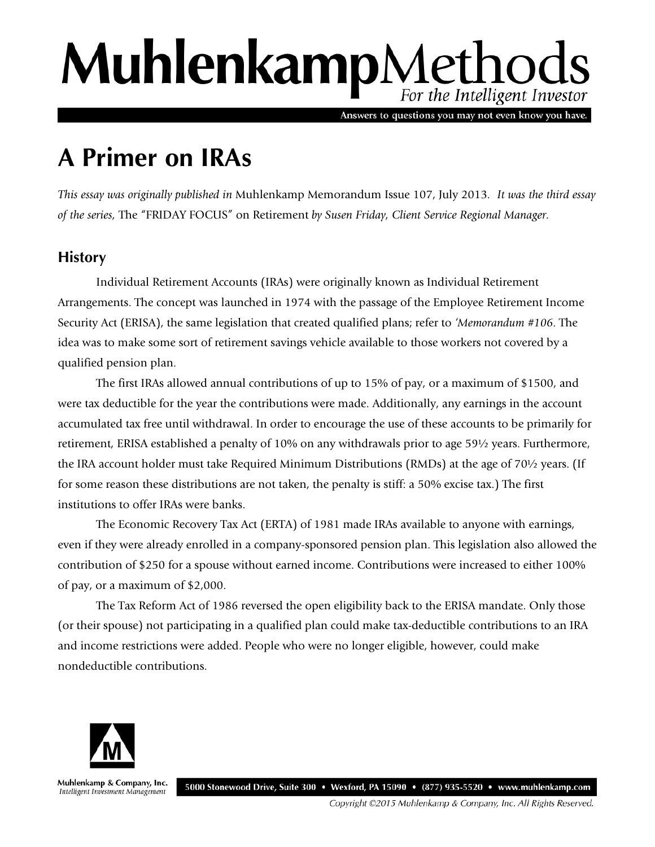# MuhlenkampMethods For the Intelligent Investor

Answers to questions you may not even know you have.

# **A Primer on IRAs**

*This essay was originally published in* Muhlenkamp Memorandum Issue 107, July 2013*. It was the third essay of the series,* The "FRIDAY FOCUS" on Retirement *by Susen Friday, Client Service Regional Manager.*

# **History**

Individual Retirement Accounts (IRAs) were originally known as Individual Retirement Arrangements. The concept was launched in 1974 with the passage of the Employee Retirement Income Security Act (ERISA), the same legislation that created qualified plans; refer to *'Memorandum #106*. The idea was to make some sort of retirement savings vehicle available to those workers not covered by a qualified pension plan.

The first IRAs allowed annual contributions of up to 15% of pay, or a maximum of \$1500, and were tax deductible for the year the contributions were made. Additionally, any earnings in the account accumulated tax free until withdrawal. In order to encourage the use of these accounts to be primarily for retirement, ERISA established a penalty of 10% on any withdrawals prior to age 59½ years. Furthermore, the IRA account holder must take Required Minimum Distributions (RMDs) at the age of 70½ years. (If for some reason these distributions are not taken, the penalty is stiff: a 50% excise tax.) The first institutions to offer IRAs were banks.

The Economic Recovery Tax Act (ERTA) of 1981 made IRAs available to anyone with earnings, even if they were already enrolled in a company-sponsored pension plan. This legislation also allowed the contribution of \$250 for a spouse without earned income. Contributions were increased to either 100% of pay, or a maximum of \$2,000.

The Tax Reform Act of 1986 reversed the open eligibility back to the ERISA mandate. Only those (or their spouse) not participating in a qualified plan could make tax-deductible contributions to an IRA and income restrictions were added. People who were no longer eligible, however, could make nondeductible contributions.



Muhlenkamp & Company, Inc. Intelligent Investment Management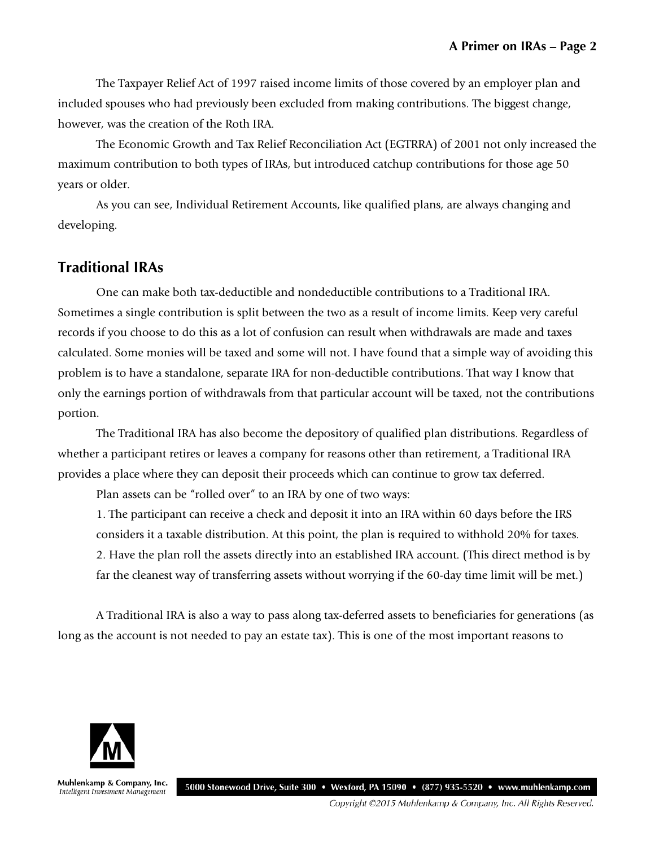The Taxpayer Relief Act of 1997 raised income limits of those covered by an employer plan and included spouses who had previously been excluded from making contributions. The biggest change, however, was the creation of the Roth IRA.

The Economic Growth and Tax Relief Reconciliation Act (EGTRRA) of 2001 not only increased the maximum contribution to both types of IRAs, but introduced catchup contributions for those age 50 years or older.

As you can see, Individual Retirement Accounts, like qualified plans, are always changing and developing.

## **Traditional IRAs**

One can make both tax-deductible and nondeductible contributions to a Traditional IRA. Sometimes a single contribution is split between the two as a result of income limits. Keep very careful records if you choose to do this as a lot of confusion can result when withdrawals are made and taxes calculated. Some monies will be taxed and some will not. I have found that a simple way of avoiding this problem is to have a standalone, separate IRA for non-deductible contributions. That way I know that only the earnings portion of withdrawals from that particular account will be taxed, not the contributions portion.

The Traditional IRA has also become the depository of qualified plan distributions. Regardless of whether a participant retires or leaves a company for reasons other than retirement, a Traditional IRA provides a place where they can deposit their proceeds which can continue to grow tax deferred.

Plan assets can be "rolled over" to an IRA by one of two ways:

1. The participant can receive a check and deposit it into an IRA within 60 days before the IRS considers it a taxable distribution. At this point, the plan is required to withhold 20% for taxes. 2. Have the plan roll the assets directly into an established IRA account. (This direct method is by far the cleanest way of transferring assets without worrying if the 60-day time limit will be met.)

A Traditional IRA is also a way to pass along tax-deferred assets to beneficiaries for generations (as long as the account is not needed to pay an estate tax). This is one of the most important reasons to



Muhlenkamp & Company, Inc. Intelligent Investment Management

5000 Stonewood Drive, Suite 300 • Wexford, PA 15090 • (877) 935-5520 • www.muhlenkamp.com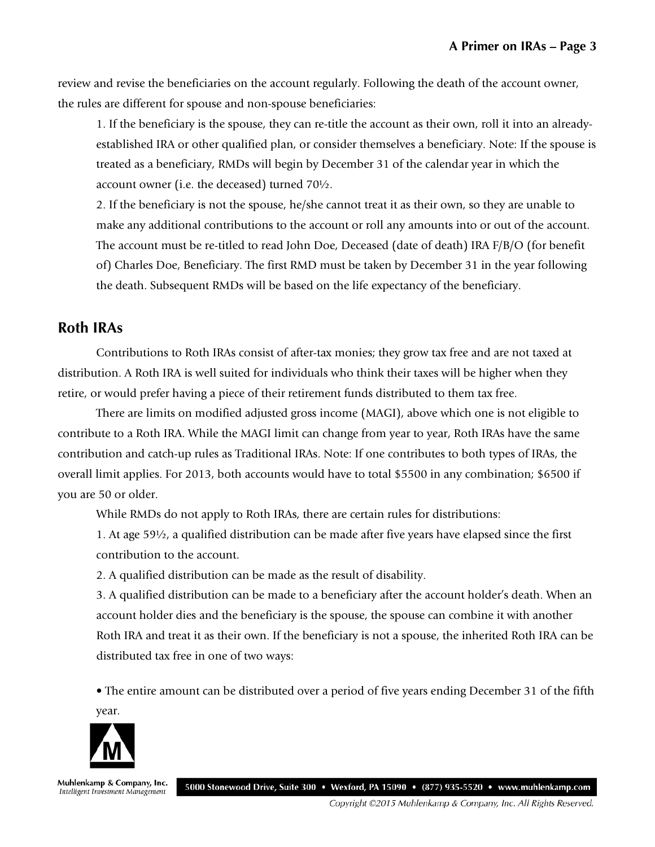review and revise the beneficiaries on the account regularly. Following the death of the account owner, the rules are different for spouse and non-spouse beneficiaries:

1. If the beneficiary is the spouse, they can re-title the account as their own, roll it into an alreadyestablished IRA or other qualified plan, or consider themselves a beneficiary. Note: If the spouse is treated as a beneficiary, RMDs will begin by December 31 of the calendar year in which the account owner (i.e. the deceased) turned 70½.

2. If the beneficiary is not the spouse, he/she cannot treat it as their own, so they are unable to make any additional contributions to the account or roll any amounts into or out of the account. The account must be re-titled to read John Doe, Deceased (date of death) IRA F/B/O (for benefit of) Charles Doe, Beneficiary. The first RMD must be taken by December 31 in the year following the death. Subsequent RMDs will be based on the life expectancy of the beneficiary.

#### **Roth IRAs**

Contributions to Roth IRAs consist of after-tax monies; they grow tax free and are not taxed at distribution. A Roth IRA is well suited for individuals who think their taxes will be higher when they retire, or would prefer having a piece of their retirement funds distributed to them tax free.

There are limits on modified adjusted gross income (MAGI), above which one is not eligible to contribute to a Roth IRA. While the MAGI limit can change from year to year, Roth IRAs have the same contribution and catch-up rules as Traditional IRAs. Note: If one contributes to both types of IRAs, the overall limit applies. For 2013, both accounts would have to total \$5500 in any combination; \$6500 if you are 50 or older.

While RMDs do not apply to Roth IRAs, there are certain rules for distributions:

1. At age 59½, a qualified distribution can be made after five years have elapsed since the first contribution to the account.

2. A qualified distribution can be made as the result of disability.

3. A qualified distribution can be made to a beneficiary after the account holder's death. When an account holder dies and the beneficiary is the spouse, the spouse can combine it with another Roth IRA and treat it as their own. If the beneficiary is not a spouse, the inherited Roth IRA can be distributed tax free in one of two ways:

• The entire amount can be distributed over a period of five years ending December 31 of the fifth year.



Muhlenkamp & Company, Inc. Intelligent Investment Management

5000 Stonewood Drive, Suite 300 • Wexford, PA 15090 • (877) 935-5520 • www.muhlenkamp.com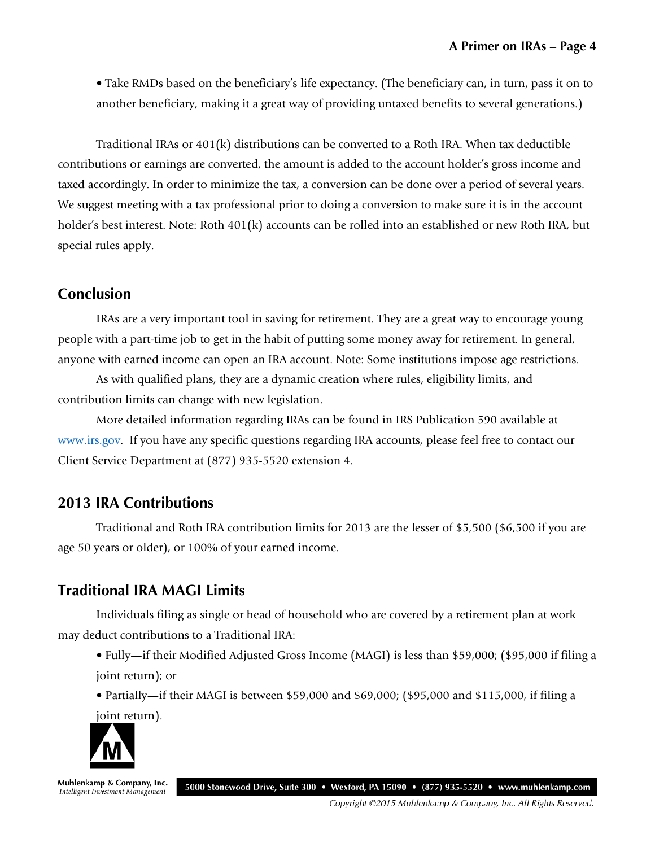• Take RMDs based on the beneficiary's life expectancy. (The beneficiary can, in turn, pass it on to another beneficiary, making it a great way of providing untaxed benefits to several generations.)

Traditional IRAs or 401(k) distributions can be converted to a Roth IRA. When tax deductible contributions or earnings are converted, the amount is added to the account holder's gross income and taxed accordingly. In order to minimize the tax, a conversion can be done over a period of several years. We suggest meeting with a tax professional prior to doing a conversion to make sure it is in the account holder's best interest. Note: Roth 401(k) accounts can be rolled into an established or new Roth IRA, but special rules apply.

#### **Conclusion**

IRAs are a very important tool in saving for retirement. They are a great way to encourage young people with a part-time job to get in the habit of putting some money away for retirement. In general, anyone with earned income can open an IRA account. Note: Some institutions impose age restrictions.

As with qualified plans, they are a dynamic creation where rules, eligibility limits, and contribution limits can change with new legislation.

More detailed information regarding IRAs can be found in IRS Publication 590 available at [www.irs.gov.](http://www.irs.gov/) If you have any specific questions regarding IRA accounts, please feel free to contact our Client Service Department at (877) 935-5520 extension 4.

# **2013 IRA Contributions**

Traditional and Roth IRA contribution limits for 2013 are the lesser of \$5,500 (\$6,500 if you are age 50 years or older), or 100% of your earned income.

# **Traditional IRA MAGI Limits**

Individuals filing as single or head of household who are covered by a retirement plan at work may deduct contributions to a Traditional IRA:

• Fully—if their Modified Adjusted Gross Income (MAGI) is less than \$59,000; (\$95,000 if filing a joint return); or

• Partially—if their MAGI is between \$59,000 and \$69,000; (\$95,000 and \$115,000, if filing a joint return).



Muhlenkamp & Company, Inc. Intelligent Investment Management

5000 Stonewood Drive, Suite 300 • Wexford, PA 15090 • (877) 935-5520 • www.muhlenkamp.com